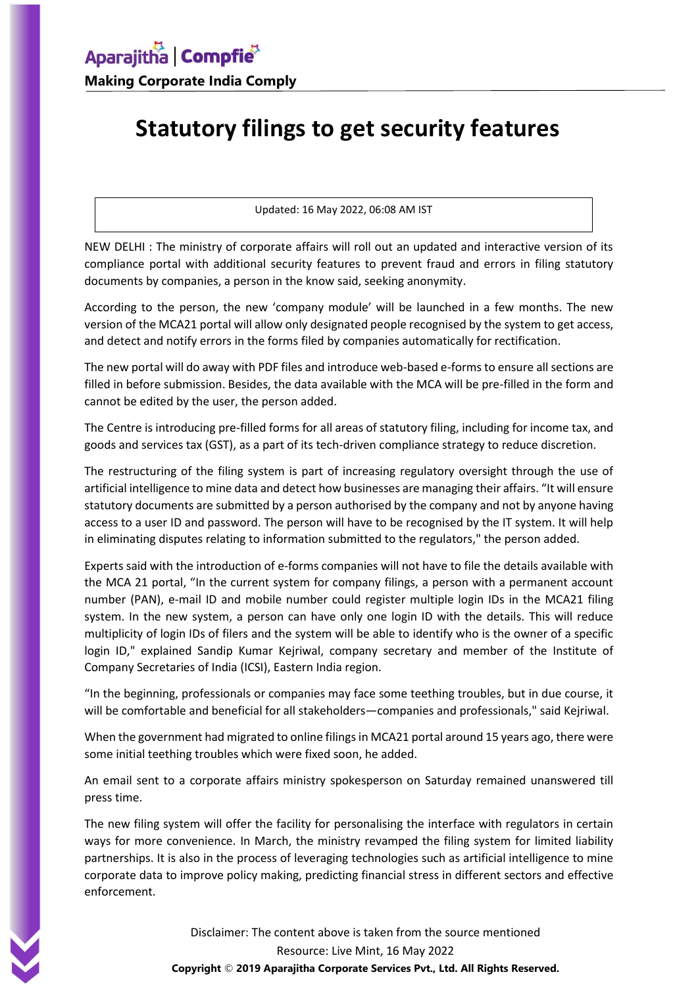## **Statutory filings to get security features**

Updated: 16 May 2022, 06:08 AM IST

NEW DELHI : The ministry of corporate affairs will roll out an updated and interactive version of its compliance portal with additional security features to prevent fraud and errors in filing statutory documents by companies, a person in the know said, seeking anonymity.

According to the person, the new 'company module' will be launched in a few months. The new version of the MCA21 portal will allow only designated people recognised by the system to get access, and detect and notify errors in the forms filed by companies automatically for rectification.

The new portal will do away with PDF files and introduce web-based e-forms to ensure all sections are filled in before submission. Besides, the data available with the MCA will be pre-filled in the form and cannot be edited by the user, the person added.

The Centre is introducing pre-filled forms for all areas of statutory filing, including for income tax, and goods and services tax (GST), as a part of its tech-driven compliance strategy to reduce discretion.

The restructuring of the filing system is part of increasing regulatory oversight through the use of artificial intelligence to mine data and detect how businesses are managing their affairs. "It will ensure statutory documents are submitted by a person authorised by the company and not by anyone having access to a user ID and password. The person will have to be recognised by the IT system. It will help in eliminating disputes relating to information submitted to the regulators," the person added.

Experts said with the introduction of e-forms companies will not have to file the details available with the MCA 21 portal, "In the current system for company filings, a person with a permanent account number (PAN), e-mail ID and mobile number could register multiple login IDs in the MCA21 filing system. In the new system, a person can have only one login ID with the details. This will reduce multiplicity of login IDs of filers and the system will be able to identify who is the owner of a specific login ID," explained Sandip Kumar Kejriwal, company secretary and member of the Institute of Company Secretaries of India (ICSI), Eastern India region.

"In the beginning, professionals or companies may face some teething troubles, but in due course, it will be comfortable and beneficial for all stakeholders—companies and professionals," said Kejriwal.

When the government had migrated to online filings in MCA21 portal around 15 years ago, there were some initial teething troubles which were fixed soon, he added.

An email sent to a corporate affairs ministry spokesperson on Saturday remained unanswered till press time.

The new filing system will offer the facility for personalising the interface with regulators in certain ways for more convenience. In March, the ministry revamped the filing system for limited liability partnerships. It is also in the process of leveraging technologies such as artificial intelligence to mine corporate data to improve policy making, predicting financial stress in different sectors and effective enforcement.

> Disclaimer: The content above is taken from the source mentioned Resource: Live Mint, 16 May 2022 **Copyright** © **2019 Aparajitha Corporate Services Pvt., Ltd. All Rights Reserved.**